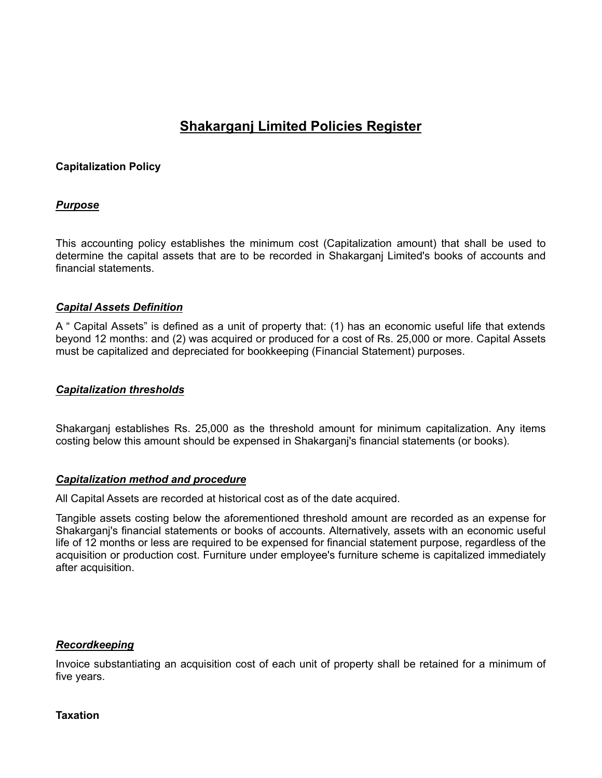# **Shakarganj Limited Policies Register**

## **Capitalization Policy**

# *Purpose*

This accounting policy establishes the minimum cost (Capitalization amount) that shall be used to determine the capital assets that are to be recorded in Shakarganj Limited's books of accounts and financial statements.

## *Capital Assets Definition*

A " Capital Assets" is defined as a unit of property that: (1) has an economic useful life that extends beyond 12 months: and (2) was acquired or produced for a cost of Rs. 25,000 or more. Capital Assets must be capitalized and depreciated for bookkeeping (Financial Statement) purposes.

#### *Capitalization thresholds*

Shakarganj establishes Rs. 25,000 as the threshold amount for minimum capitalization. Any items costing below this amount should be expensed in Shakarganj's financial statements (or books).

#### *Capitalization method and procedure*

All Capital Assets are recorded at historical cost as of the date acquired.

Tangible assets costing below the aforementioned threshold amount are recorded as an expense for Shakarganj's financial statements or books of accounts. Alternatively, assets with an economic useful life of 12 months or less are required to be expensed for financial statement purpose, regardless of the acquisition or production cost. Furniture under employee's furniture scheme is capitalized immediately after acquisition.

## *Recordkeeping*

Invoice substantiating an acquisition cost of each unit of property shall be retained for a minimum of five years.

#### **Taxation**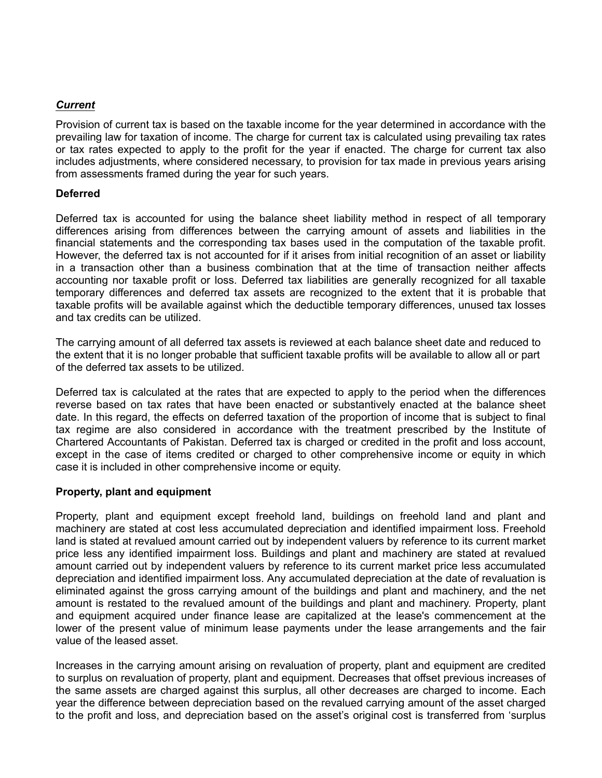# *Current*

Provision of current tax is based on the taxable income for the year determined in accordance with the prevailing law for taxation of income. The charge for current tax is calculated using prevailing tax rates or tax rates expected to apply to the profit for the year if enacted. The charge for current tax also includes adjustments, where considered necessary, to provision for tax made in previous years arising from assessments framed during the year for such years.

## **Deferred**

Deferred tax is accounted for using the balance sheet liability method in respect of all temporary differences arising from differences between the carrying amount of assets and liabilities in the financial statements and the corresponding tax bases used in the computation of the taxable profit. However, the deferred tax is not accounted for if it arises from initial recognition of an asset or liability in a transaction other than a business combination that at the time of transaction neither affects accounting nor taxable profit or loss. Deferred tax liabilities are generally recognized for all taxable temporary differences and deferred tax assets are recognized to the extent that it is probable that taxable profits will be available against which the deductible temporary differences, unused tax losses and tax credits can be utilized.

The carrying amount of all deferred tax assets is reviewed at each balance sheet date and reduced to the extent that it is no longer probable that sufficient taxable profits will be available to allow all or part of the deferred tax assets to be utilized.

Deferred tax is calculated at the rates that are expected to apply to the period when the differences reverse based on tax rates that have been enacted or substantively enacted at the balance sheet date. In this regard, the effects on deferred taxation of the proportion of income that is subject to final tax regime are also considered in accordance with the treatment prescribed by the Institute of Chartered Accountants of Pakistan. Deferred tax is charged or credited in the profit and loss account, except in the case of items credited or charged to other comprehensive income or equity in which case it is included in other comprehensive income or equity.

#### **Property, plant and equipment**

Property, plant and equipment except freehold land, buildings on freehold land and plant and machinery are stated at cost less accumulated depreciation and identified impairment loss. Freehold land is stated at revalued amount carried out by independent valuers by reference to its current market price less any identified impairment loss. Buildings and plant and machinery are stated at revalued amount carried out by independent valuers by reference to its current market price less accumulated depreciation and identified impairment loss. Any accumulated depreciation at the date of revaluation is eliminated against the gross carrying amount of the buildings and plant and machinery, and the net amount is restated to the revalued amount of the buildings and plant and machinery. Property, plant and equipment acquired under finance lease are capitalized at the lease's commencement at the lower of the present value of minimum lease payments under the lease arrangements and the fair value of the leased asset.

Increases in the carrying amount arising on revaluation of property, plant and equipment are credited to surplus on revaluation of property, plant and equipment. Decreases that offset previous increases of the same assets are charged against this surplus, all other decreases are charged to income. Each year the difference between depreciation based on the revalued carrying amount of the asset charged to the profit and loss, and depreciation based on the asset's original cost is transferred from 'surplus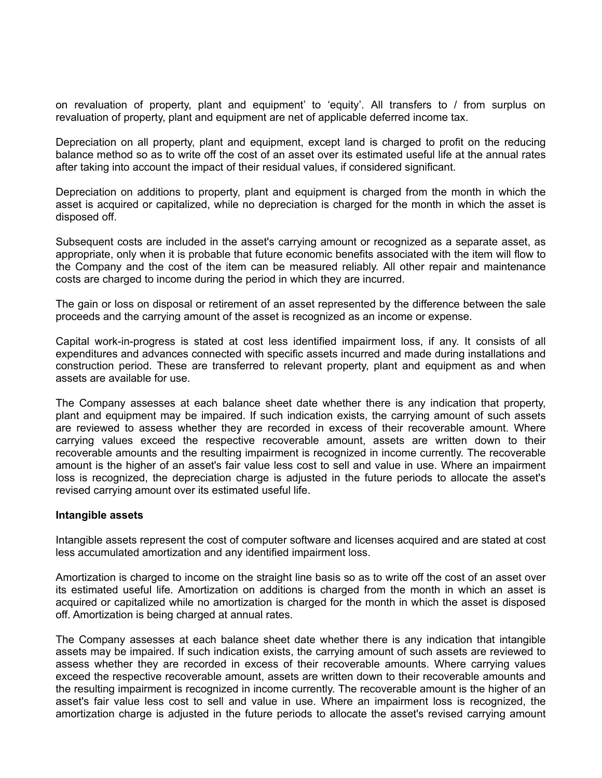on revaluation of property, plant and equipment' to 'equity'. All transfers to / from surplus on revaluation of property, plant and equipment are net of applicable deferred income tax.

Depreciation on all property, plant and equipment, except land is charged to profit on the reducing balance method so as to write off the cost of an asset over its estimated useful life at the annual rates after taking into account the impact of their residual values, if considered significant.

Depreciation on additions to property, plant and equipment is charged from the month in which the asset is acquired or capitalized, while no depreciation is charged for the month in which the asset is disposed off.

Subsequent costs are included in the asset's carrying amount or recognized as a separate asset, as appropriate, only when it is probable that future economic benefits associated with the item will flow to the Company and the cost of the item can be measured reliably. All other repair and maintenance costs are charged to income during the period in which they are incurred.

The gain or loss on disposal or retirement of an asset represented by the difference between the sale proceeds and the carrying amount of the asset is recognized as an income or expense.

Capital work-in-progress is stated at cost less identified impairment loss, if any. It consists of all expenditures and advances connected with specific assets incurred and made during installations and construction period. These are transferred to relevant property, plant and equipment as and when assets are available for use.

The Company assesses at each balance sheet date whether there is any indication that property, plant and equipment may be impaired. If such indication exists, the carrying amount of such assets are reviewed to assess whether they are recorded in excess of their recoverable amount. Where carrying values exceed the respective recoverable amount, assets are written down to their recoverable amounts and the resulting impairment is recognized in income currently. The recoverable amount is the higher of an asset's fair value less cost to sell and value in use. Where an impairment loss is recognized, the depreciation charge is adjusted in the future periods to allocate the asset's revised carrying amount over its estimated useful life.

#### **Intangible assets**

Intangible assets represent the cost of computer software and licenses acquired and are stated at cost less accumulated amortization and any identified impairment loss.

Amortization is charged to income on the straight line basis so as to write off the cost of an asset over its estimated useful life. Amortization on additions is charged from the month in which an asset is acquired or capitalized while no amortization is charged for the month in which the asset is disposed off. Amortization is being charged at annual rates.

The Company assesses at each balance sheet date whether there is any indication that intangible assets may be impaired. If such indication exists, the carrying amount of such assets are reviewed to assess whether they are recorded in excess of their recoverable amounts. Where carrying values exceed the respective recoverable amount, assets are written down to their recoverable amounts and the resulting impairment is recognized in income currently. The recoverable amount is the higher of an asset's fair value less cost to sell and value in use. Where an impairment loss is recognized, the amortization charge is adjusted in the future periods to allocate the asset's revised carrying amount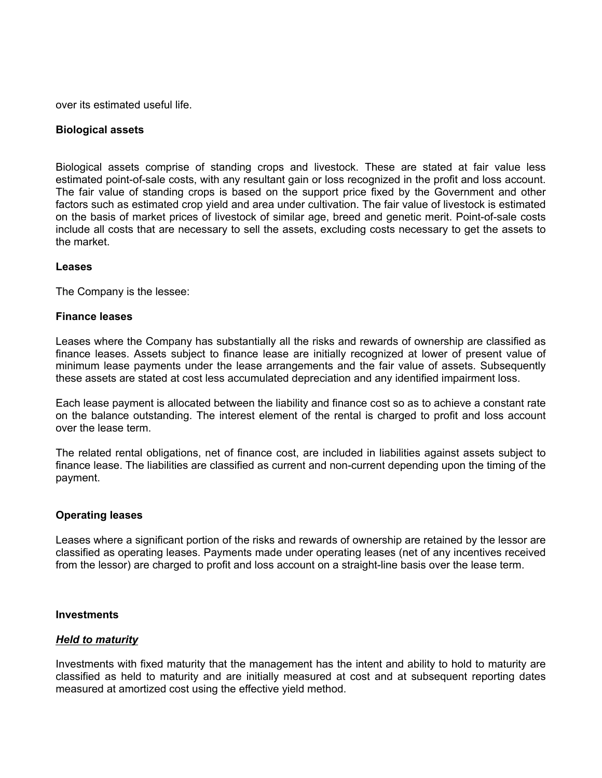over its estimated useful life.

#### **Biological assets**

Biological assets comprise of standing crops and livestock. These are stated at fair value less estimated point-of-sale costs, with any resultant gain or loss recognized in the profit and loss account. The fair value of standing crops is based on the support price fixed by the Government and other factors such as estimated crop yield and area under cultivation. The fair value of livestock is estimated on the basis of market prices of livestock of similar age, breed and genetic merit. Point-of-sale costs include all costs that are necessary to sell the assets, excluding costs necessary to get the assets to the market.

#### **Leases**

The Company is the lessee:

#### **Finance leases**

Leases where the Company has substantially all the risks and rewards of ownership are classified as finance leases. Assets subject to finance lease are initially recognized at lower of present value of minimum lease payments under the lease arrangements and the fair value of assets. Subsequently these assets are stated at cost less accumulated depreciation and any identified impairment loss.

Each lease payment is allocated between the liability and finance cost so as to achieve a constant rate on the balance outstanding. The interest element of the rental is charged to profit and loss account over the lease term.

The related rental obligations, net of finance cost, are included in liabilities against assets subject to finance lease. The liabilities are classified as current and non-current depending upon the timing of the payment.

#### **Operating leases**

Leases where a significant portion of the risks and rewards of ownership are retained by the lessor are classified as operating leases. Payments made under operating leases (net of any incentives received from the lessor) are charged to profit and loss account on a straight-line basis over the lease term.

#### **Investments**

#### *Held to maturity*

Investments with fixed maturity that the management has the intent and ability to hold to maturity are classified as held to maturity and are initially measured at cost and at subsequent reporting dates measured at amortized cost using the effective yield method.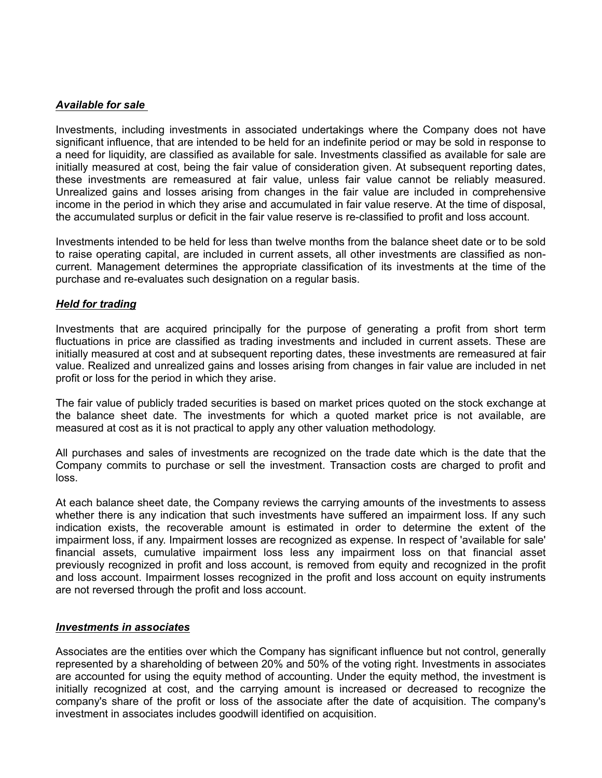## *Available for sale*

Investments, including investments in associated undertakings where the Company does not have significant influence, that are intended to be held for an indefinite period or may be sold in response to a need for liquidity, are classified as available for sale. Investments classified as available for sale are initially measured at cost, being the fair value of consideration given. At subsequent reporting dates, these investments are remeasured at fair value, unless fair value cannot be reliably measured. Unrealized gains and losses arising from changes in the fair value are included in comprehensive income in the period in which they arise and accumulated in fair value reserve. At the time of disposal, the accumulated surplus or deficit in the fair value reserve is re-classified to profit and loss account.

Investments intended to be held for less than twelve months from the balance sheet date or to be sold to raise operating capital, are included in current assets, all other investments are classified as noncurrent. Management determines the appropriate classification of its investments at the time of the purchase and re-evaluates such designation on a regular basis.

## *Held for trading*

Investments that are acquired principally for the purpose of generating a profit from short term fluctuations in price are classified as trading investments and included in current assets. These are initially measured at cost and at subsequent reporting dates, these investments are remeasured at fair value. Realized and unrealized gains and losses arising from changes in fair value are included in net profit or loss for the period in which they arise.

The fair value of publicly traded securities is based on market prices quoted on the stock exchange at the balance sheet date. The investments for which a quoted market price is not available, are measured at cost as it is not practical to apply any other valuation methodology.<br>All purchases and sales of investments are recognized on the trade date which is the date that the

Company commits to purchase or sell the investment. Transaction costs are charged to profit and loss.

At each balance sheet date, the Company reviews the carrying amounts of the investments to assess whether there is any indication that such investments have suffered an impairment loss. If any such indication exists, the recoverable amount is estimated in order to determine the extent of the impairment loss, if any. Impairment losses are recognized as expense. In respect of 'available for sale' financial assets, cumulative impairment loss less any impairment loss on that financial asset previously recognized in profit and loss account, is removed from equity and recognized in the profit and loss account. Impairment losses recognized in the profit and loss account on equity instruments are not reversed through the profit and loss account.

#### *Investments in associates*

Associates are the entities over which the Company has significant influence but not control, generally represented by a shareholding of between 20% and 50% of the voting right. Investments in associates are accounted for using the equity method of accounting. Under the equity method, the investment is initially recognized at cost, and the carrying amount is increased or decreased to recognize the company's share of the profit or loss of the associate after the date of acquisition. The company's investment in associates includes goodwill identified on acquisition.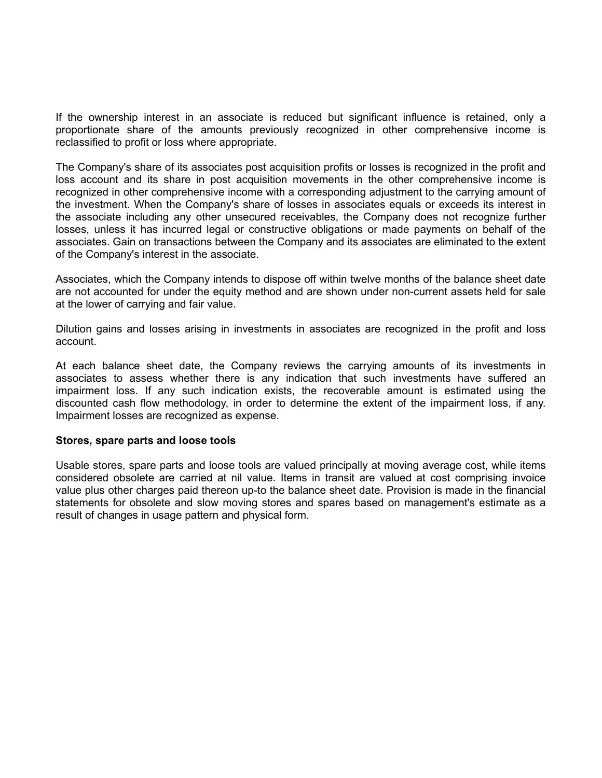If the ownership interest in an associate is reduced but significant influence is retained, only a proportionate share of the amounts previously recognized in other comprehensive income is reclassified to profit or loss where appropriate.

The Company's share of its associates post acquisition profits or losses is recognized in the profit and loss account and its share in post acquisition movements in the other comprehensive income is recognized in other comprehensive income with a corresponding adjustment to the carrying amount of the investment. When the Company's share of losses in associates equals or exceeds its interest in the associate including any other unsecured receivables, the Company does not recognize further losses, unless it has incurred legal or constructive obligations or made payments on behalf of the associates. Gain on transactions between the Company and its associates are eliminated to the extent of the Company's interest in the associate.

Associates, which the Company intends to dispose off within twelve months of the balance sheet date are not accounted for under the equity method and are shown under non-current assets held for sale at the lower of carrying and fair value.

Dilution gains and losses arising in investments in associates are recognized in the profit and loss account.

At each balance sheet date, the Company reviews the carrying amounts of its investments in associates to assess whether there is any indication that such investments have suffered an impairment loss. If any such indication exists, the recoverable amount is estimated using the discounted cash flow methodology, in order to determine the extent of the impairment loss, if any. Impairment losses are recognized as expense.

#### **Stores, spare parts and loose tools**

Usable stores, spare parts and loose tools are valued principally at moving average cost, while items considered obsolete are carried at nil value. Items in transit are valued at cost comprising invoice value plus other charges paid thereon up-to the balance sheet date. Provision is made in the financial statements for obsolete and slow moving stores and spares based on management's estimate as a result of changes in usage pattern and physical form.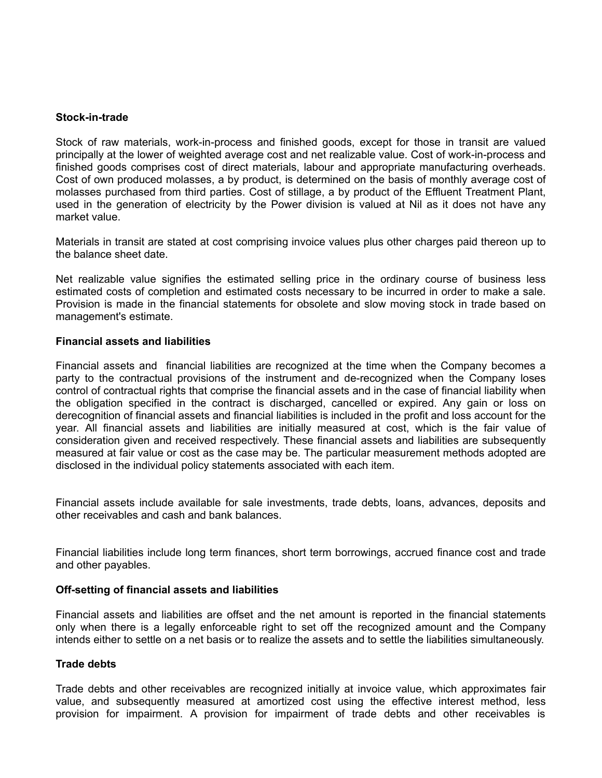#### **Stock-in-trade**

Stock of raw materials, work-in-process and finished goods, except for those in transit are valued principally at the lower of weighted average cost and net realizable value. Cost of work-in-process and finished goods comprises cost of direct materials, labour and appropriate manufacturing overheads. Cost of own produced molasses, a by product, is determined on the basis of monthly average cost of molasses purchased from third parties. Cost of stillage, a by product of the Effluent Treatment Plant, used in the generation of electricity by the Power division is valued at Nil as it does not have any market value.

Materials in transit are stated at cost comprising invoice values plus other charges paid thereon up to the balance sheet date.

Net realizable value signifies the estimated selling price in the ordinary course of business less estimated costs of completion and estimated costs necessary to be incurred in order to make a sale. Provision is made in the financial statements for obsolete and slow moving stock in trade based on management's estimate.

#### **Financial assets and liabilities**

Financial assets and financial liabilities are recognized at the time when the Company becomes a party to the contractual provisions of the instrument and de-recognized when the Company loses control of contractual rights that comprise the financial assets and in the case of financial liability when the obligation specified in the contract is discharged, cancelled or expired. Any gain or loss on derecognition of financial assets and financial liabilities is included in the profit and loss account for the year. All financial assets and liabilities are initially measured at cost, which is the fair value of consideration given and received respectively. These financial assets and liabilities are subsequently measured at fair value or cost as the case may be. The particular measurement methods adopted are disclosed in the individual policy statements associated with each item.

Financial assets include available for sale investments, trade debts, loans, advances, deposits and other receivables and cash and bank balances.

Financial liabilities include long term finances, short term borrowings, accrued finance cost and trade and other payables.

#### **Off-setting of financial assets and liabilities**

Financial assets and liabilities are offset and the net amount is reported in the financial statements only when there is a legally enforceable right to set off the recognized amount and the Company intends either to settle on a net basis or to realize the assets and to settle the liabilities simultaneously.

#### **Trade debts**

Trade debts and other receivables are recognized initially at invoice value, which approximates fair value, and subsequently measured at amortized cost using the effective interest method, less provision for impairment. A provision for impairment of trade debts and other receivables is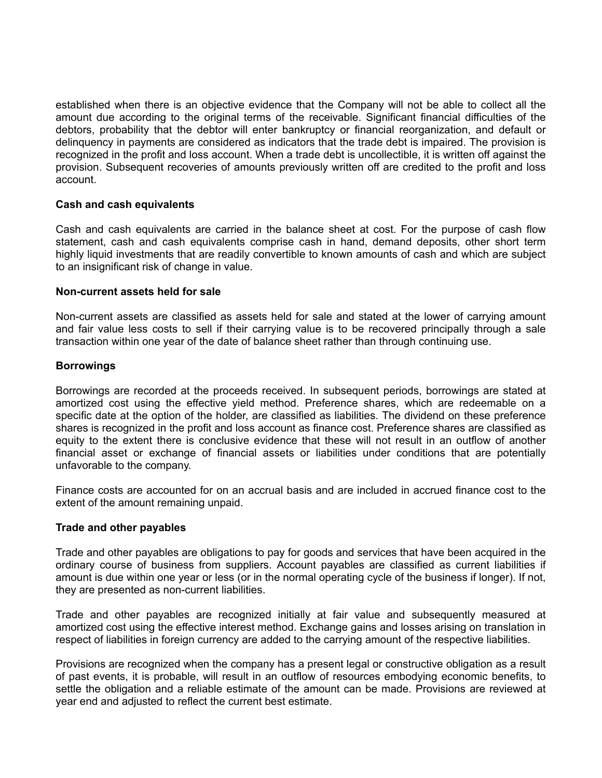established when there is an objective evidence that the Company will not be able to collect all the amount due according to the original terms of the receivable. Significant financial difficulties of the debtors, probability that the debtor will enter bankruptcy or financial reorganization, and default or delinquency in payments are considered as indicators that the trade debt is impaired. The provision is recognized in the profit and loss account. When a trade debt is uncollectible, it is written off against the provision. Subsequent recoveries of amounts previously written off are credited to the profit and loss account.

## **Cash and cash equivalents**

Cash and cash equivalents are carried in the balance sheet at cost. For the purpose of cash flow statement, cash and cash equivalents comprise cash in hand, demand deposits, other short term highly liquid investments that are readily convertible to known amounts of cash and which are subject to an insignificant risk of change in value.

## **Non-current assets held for sale**

Non-current assets are classified as assets held for sale and stated at the lower of carrying amount and fair value less costs to sell if their carrying value is to be recovered principally through a sale transaction within one year of the date of balance sheet rather than through continuing use.

## **Borrowings**

Borrowings are recorded at the proceeds received. In subsequent periods, borrowings are stated at amortized cost using the effective yield method. Preference shares, which are redeemable on a specific date at the option of the holder, are classified as liabilities. The dividend on these preference shares is recognized in the profit and loss account as finance cost. Preference shares are classified as equity to the extent there is conclusive evidence that these will not result in an outflow of another financial asset or exchange of financial assets or liabilities under conditions that are potentially unfavorable to the company.

Finance costs are accounted for on an accrual basis and are included in accrued finance cost to the extent of the amount remaining unpaid.

#### **Trade and other payables**

Trade and other payables are obligations to pay for goods and services that have been acquired in the ordinary course of business from suppliers. Account payables are classified as current liabilities if amount is due within one year or less (or in the normal operating cycle of the business if longer). If not, they are presented as non-current liabilities.

Trade and other payables are recognized initially at fair value and subsequently measured at amortized cost using the effective interest method. Exchange gains and losses arising on translation in respect of liabilities in foreign currency are added to the carrying amount of the respective liabilities.

Provisions are recognized when the company has a present legal or constructive obligation as a result of past events, it is probable, will result in an outflow of resources embodying economic benefits, to settle the obligation and a reliable estimate of the amount can be made. Provisions are reviewed at year end and adjusted to reflect the current best estimate.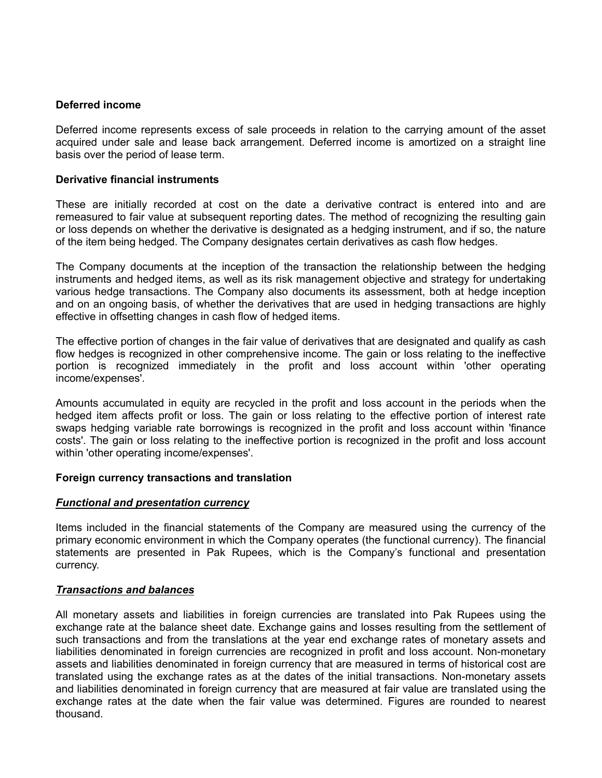## **Deferred income**

Deferred income represents excess of sale proceeds in relation to the carrying amount of the asset acquired under sale and lease back arrangement. Deferred income is amortized on a straight line basis over the period of lease term.

#### **Derivative financial instruments**

These are initially recorded at cost on the date a derivative contract is entered into and are remeasured to fair value at subsequent reporting dates. The method of recognizing the resulting gain or loss depends on whether the derivative is designated as a hedging instrument, and if so, the nature of the item being hedged. The Company designates certain derivatives as cash flow hedges.

The Company documents at the inception of the transaction the relationship between the hedging instruments and hedged items, as well as its risk management objective and strategy for undertaking various hedge transactions. The Company also documents its assessment, both at hedge inception and on an ongoing basis, of whether the derivatives that are used in hedging transactions are highly effective in offsetting changes in cash flow of hedged items.

The effective portion of changes in the fair value of derivatives that are designated and qualify as cash flow hedges is recognized in other comprehensive income. The gain or loss relating to the ineffective portion is recognized immediately in the profit and loss account within 'other operating income/expenses'.

Amounts accumulated in equity are recycled in the profit and loss account in the periods when the hedged item affects profit or loss. The gain or loss relating to the effective portion of interest rate swaps hedging variable rate borrowings is recognized in the profit and loss account within 'finance costs'. The gain or loss relating to the ineffective portion is recognized in the profit and loss account within 'other operating income/expenses'.

#### **Foreign currency transactions and translation**

#### *Functional and presentation currency*

Items included in the financial statements of the Company are measured using the currency of the primary economic environment in which the Company operates (the functional currency). The financial statements are presented in Pak Rupees, which is the Company's functional and presentation currency.

#### *Transactions and balances*

All monetary assets and liabilities in foreign currencies are translated into Pak Rupees using the exchange rate at the balance sheet date. Exchange gains and losses resulting from the settlement of such transactions and from the translations at the year end exchange rates of monetary assets and liabilities denominated in foreign currencies are recognized in profit and loss account. Non-monetary assets and liabilities denominated in foreign currency that are measured in terms of historical cost are translated using the exchange rates as at the dates of the initial transactions. Non-monetary assets and liabilities denominated in foreign currency that are measured at fair value are translated using the exchange rates at the date when the fair value was determined. Figures are rounded to nearest thousand.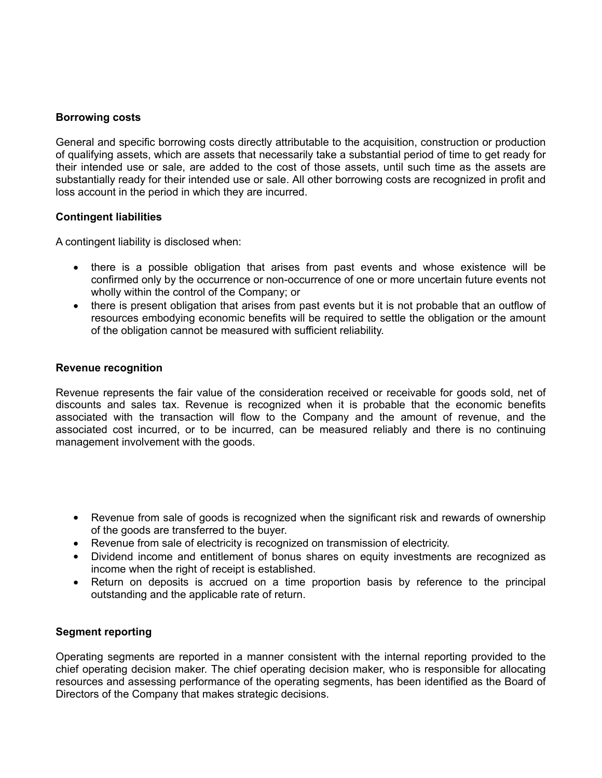#### **Borrowing costs**

General and specific borrowing costs directly attributable to the acquisition, construction or production of qualifying assets, which are assets that necessarily take a substantial period of time to get ready for their intended use or sale, are added to the cost of those assets, until such time as the assets are substantially ready for their intended use or sale. All other borrowing costs are recognized in profit and loss account in the period in which they are incurred.

## **Contingent liabilities**

A contingent liability is disclosed when:

- there is a possible obligation that arises from past events and whose existence will be confirmed only by the occurrence or non-occurrence of one or more uncertain future events not wholly within the control of the Company; or
- there is present obligation that arises from past events but it is not probable that an outflow of resources embodying economic benefits will be required to settle the obligation or the amount of the obligation cannot be measured with sufficient reliability.

## **Revenue recognition**

Revenue represents the fair value of the consideration received or receivable for goods sold, net of discounts and sales tax. Revenue is recognized when it is probable that the economic benefits associated with the transaction will flow to the Company and the amount of revenue, and the associated cost incurred, or to be incurred, can be measured reliably and there is no continuing management involvement with the goods.

- Revenue from sale of goods is recognized when the significant risk and rewards of ownership of the goods are transferred to the buyer.
- Revenue from sale of electricity is recognized on transmission of electricity.
- Dividend income and entitlement of bonus shares on equity investments are recognized as income when the right of receipt is established.
- Return on deposits is accrued on a time proportion basis by reference to the principal outstanding and the applicable rate of return.

#### **Segment reporting**

Operating segments are reported in a manner consistent with the internal reporting provided to the chief operating decision maker. The chief operating decision maker, who is responsible for allocating resources and assessing performance of the operating segments, has been identified as the Board of Directors of the Company that makes strategic decisions.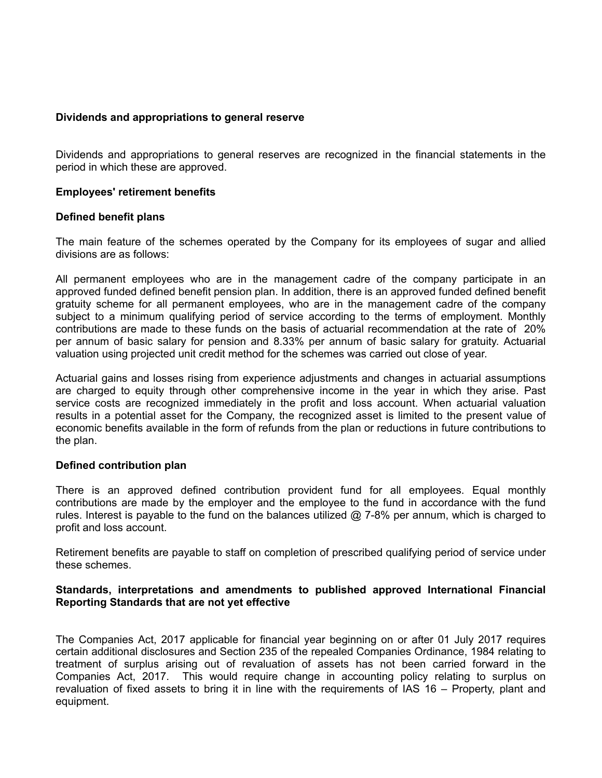#### **Dividends and appropriations to general reserve**

Dividends and appropriations to general reserves are recognized in the financial statements in the period in which these are approved.

#### **Employees' retirement benefits**

#### **Defined benefit plans**

The main feature of the schemes operated by the Company for its employees of sugar and allied divisions are as follows:

All permanent employees who are in the management cadre of the company participate in an approved funded defined benefit pension plan. In addition, there is an approved funded defined benefit gratuity scheme for all permanent employees, who are in the management cadre of the company subject to a minimum qualifying period of service according to the terms of employment. Monthly contributions are made to these funds on the basis of actuarial recommendation at the rate of 20% per annum of basic salary for pension and 8.33% per annum of basic salary for gratuity. Actuarial valuation using projected unit credit method for the schemes was carried out close of year.

Actuarial gains and losses rising from experience adjustments and changes in actuarial assumptions are charged to equity through other comprehensive income in the year in which they arise. Past service costs are recognized immediately in the profit and loss account. When actuarial valuation results in a potential asset for the Company, the recognized asset is limited to the present value of economic benefits available in the form of refunds from the plan or reductions in future contributions to the plan.

#### **Defined contribution plan**

There is an approved defined contribution provident fund for all employees. Equal monthly contributions are made by the employer and the employee to the fund in accordance with the fund rules. Interest is payable to the fund on the balances utilized @ 7-8% per annum, which is charged to profit and loss account.

Retirement benefits are payable to staff on completion of prescribed qualifying period of service under these schemes.

#### **Standards, interpretations and amendments to published approved International Financial Reporting Standards that are not yet effective**

The Companies Act, 2017 applicable for financial year beginning on or after 01 July 2017 requires certain additional disclosures and Section 235 of the repealed Companies Ordinance, 1984 relating to treatment of surplus arising out of revaluation of assets has not been carried forward in the Companies Act, 2017. This would require change in accounting policy relating to surplus on revaluation of fixed assets to bring it in line with the requirements of IAS 16 – Property, plant and equipment.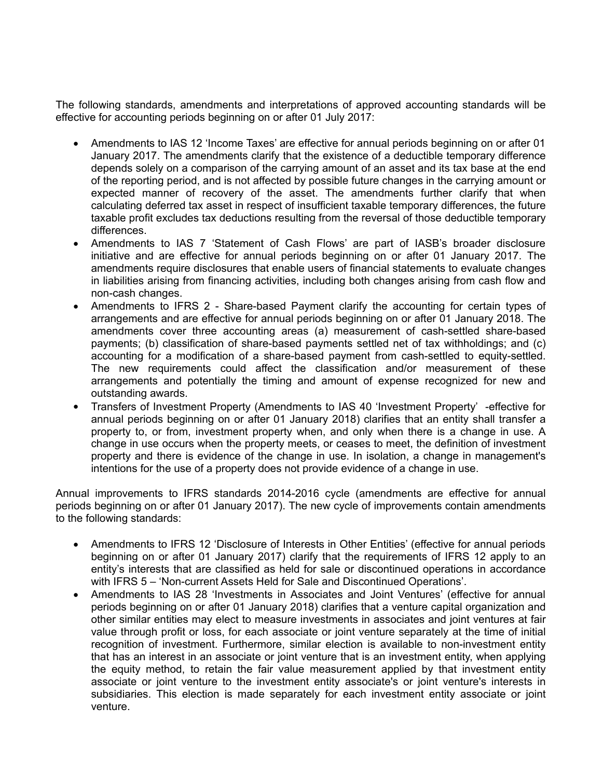The following standards, amendments and interpretations of approved accounting standards will be effective for accounting periods beginning on or after 01 July 2017:

- Amendments to IAS 12 'Income Taxes' are effective for annual periods beginning on or after 01 January 2017. The amendments clarify that the existence of a deductible temporary difference depends solely on a comparison of the carrying amount of an asset and its tax base at the end of the reporting period, and is not affected by possible future changes in the carrying amount or expected manner of recovery of the asset. The amendments further clarify that when calculating deferred tax asset in respect of insufficient taxable temporary differences, the future taxable profit excludes tax deductions resulting from the reversal of those deductible temporary differences.
- Amendments to IAS 7 'Statement of Cash Flows' are part of IASB's broader disclosure initiative and are effective for annual periods beginning on or after 01 January 2017. The amendments require disclosures that enable users of financial statements to evaluate changes in liabilities arising from financing activities, including both changes arising from cash flow and non-cash changes.
- Amendments to IFRS 2 Share-based Payment clarify the accounting for certain types of arrangements and are effective for annual periods beginning on or after 01 January 2018. The amendments cover three accounting areas (a) measurement of cash-settled share-based payments; (b) classification of share-based payments settled net of tax withholdings; and (c) accounting for a modification of a share-based payment from cash-settled to equity-settled. The new requirements could affect the classification and/or measurement of these arrangements and potentially the timing and amount of expense recognized for new and outstanding awards.
- Transfers of Investment Property (Amendments to IAS 40 'Investment Property' -effective for annual periods beginning on or after 01 January 2018) clarifies that an entity shall transfer a property to, or from, investment property when, and only when there is a change in use. A change in use occurs when the property meets, or ceases to meet, the definition of investment property and there is evidence of the change in use. In isolation, a change in management's intentions for the use of a property does not provide evidence of a change in use.

Annual improvements to IFRS standards 2014-2016 cycle (amendments are effective for annual periods beginning on or after 01 January 2017). The new cycle of improvements contain amendments to the following standards:

- Amendments to IFRS 12 'Disclosure of Interests in Other Entities' (effective for annual periods beginning on or after 01 January 2017) clarify that the requirements of IFRS 12 apply to an entity's interests that are classified as held for sale or discontinued operations in accordance with IFRS 5 – 'Non-current Assets Held for Sale and Discontinued Operations'.
- Amendments to IAS 28 'Investments in Associates and Joint Ventures' (effective for annual periods beginning on or after 01 January 2018) clarifies that a venture capital organization and other similar entities may elect to measure investments in associates and joint ventures at fair value through profit or loss, for each associate or joint venture separately at the time of initial recognition of investment. Furthermore, similar election is available to non-investment entity that has an interest in an associate or joint venture that is an investment entity, when applying the equity method, to retain the fair value measurement applied by that investment entity associate or joint venture to the investment entity associate's or joint venture's interests in subsidiaries. This election is made separately for each investment entity associate or joint venture.